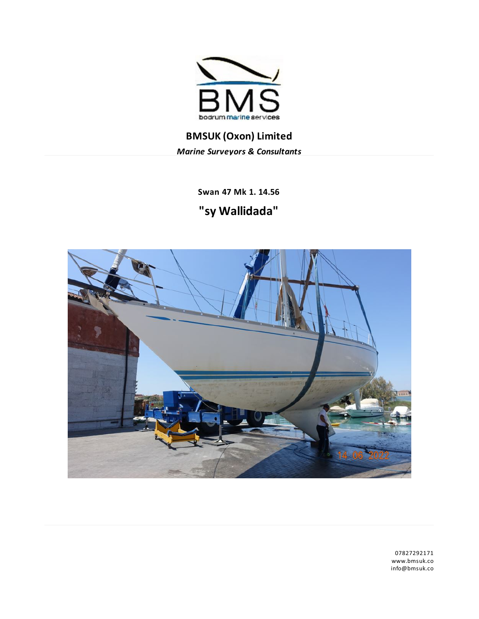

**BMSUK (Oxon) Limited** *Marine Surveyors & Consultants*

> **Swan 47 Mk 1. 14.56 "sy Wallidada"**



07827292171 www.bmsuk.co info@bmsuk.co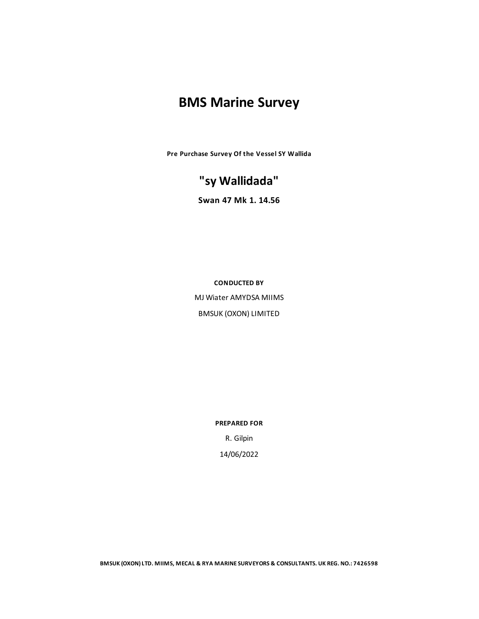# **BMS Marine Survey**

**Pre Purchase Survey Of the Vessel SY Wallida**

# **"sy Wallidada"**

**Swan 47 Mk 1. 14.56**

**CONDUCTED BY**

MJ Wiater AMYDSA MIIMS **BMSUK (OXON) LIMITED** 

**PREPARED FOR**

R. Gilpin 14/06/2022

**BMSUK (OXON)LTD. MIIMS, MECAL & RYA MARINESURVEYORS & CONSULTANTS. UK REG. NO.: 7426598**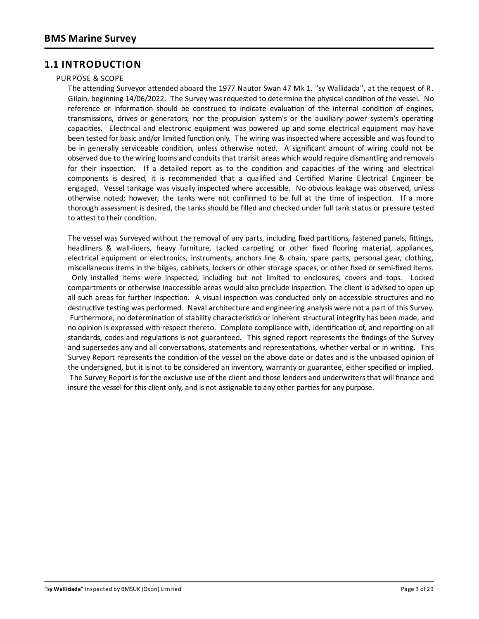## **1.1 INTRODUCTION**

### PURPOSE & SCOPE

The attending Surveyor attended aboard the 1977 Nautor Swan 47 Mk 1. "sy Wallidada", at the request of R. Gilpin, beginning 14/06/2022. The Survey was requested to determine the physical condition of the vessel. No reference or information should be construed to indicate evaluation of the internal condition of engines, transmissions, drives or generators, nor the propulsion system's or the auxiliary power system's operating capacities. Electrical and electronic equipment was powered up and some electrical equipment may have been tested for basic and/or limited function only. The wiring was inspected where accessible and was found to be in generally serviceable condition, unless otherwise noted. A significant amount of wiring could not be observed due to the wiring looms and conduits that transit areas which would require dismantling and removals for their inspection. If a detailed report as to the condition and capacities of the wiring and electrical components is desired, it is recommended that a qualified and Certified Marine Electrical Engineer be engaged. Vessel tankage was visually inspected where accessible. No obvious leakage was observed, unless otherwise noted; however, the tanks were not confirmed to be full at the time of inspection. If a more thorough assessment is desired, the tanks should be filled and checked under full tankstatus or pressure tested to attest to their condition.

The vessel was Surveyed without the removal of any parts, including fixed partitions, fastened panels, fittings, headliners & wall-liners, heavy furniture, tacked carpeting or other fixed flooring material, appliances, electrical equipment or electronics, instruments, anchors line & chain, spare parts, personal gear, clothing, miscellaneous items in the bilges, cabinets, lockers or other storage spaces, or other fixed or semi-fixed items. Only installed items were inspected, including but not limited to enclosures, covers and tops. Locked compartments or otherwise inaccessible areas would also preclude inspection. The client is advised to open up all such areas for further inspection. A visual inspection was conducted only on accessible structures and no destructive testing was performed. Naval architecture and engineering analysis were not a part of this Survey. Furthermore, no determination of stability characteristics or inherent structural integrity has been made, and no opinion is expressed with respect thereto. Complete compliance with, identification of, and reporting on all standards, codes and regulations is not guaranteed. This signed report represents the findings of the Survey and supersedes any and all conversations, statements and representations, whether verbal or in writing. This Survey Report represents the condition of the vessel on the above date or dates and is the unbiased opinion of the undersigned, but it is not to be considered an inventory, warranty or guarantee, either specified or implied. The Survey Report isfor the exclusive use of the client and those lendersand underwritersthat will finance and insure the vessel for this client only, and is not assignable to any other parties for any purpose.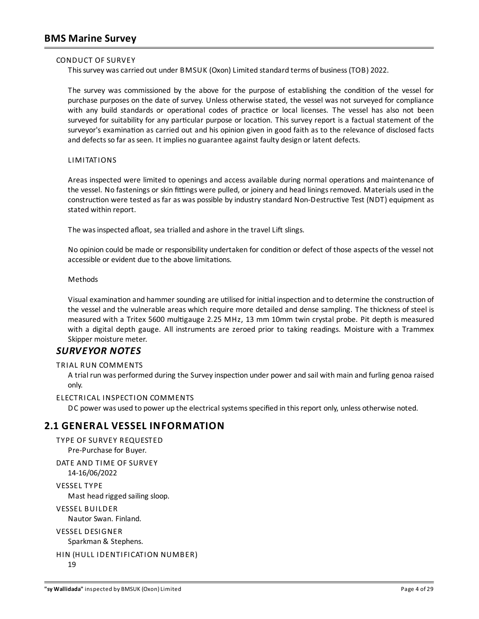### CONDUCT OF SURVEY

Thissurvey wascarried out under BMSUK (Oxon) Limited standard terms of business(TOB) 2022.

The survey was commissioned by the above for the purpose of establishing the condition of the vessel for purchase purposes on the date of survey. Unless otherwise stated, the vessel was not surveyed for compliance with any build standards or operational codes of practice or local licenses. The vessel has also not been surveyed for suitability for any particular purpose or location. This survey report is a factual statement of the surveyor's examination as carried out and his opinion given in good faith as to the relevance of disclosed facts and defects so far as seen. It implies no guarantee against faulty design or latent defects.

### LIMITATIONS

Areas inspected were limited to openings and access available during normal operations and maintenance of the vessel. No fastenings or skin fittings were pulled, or joinery and head linings removed. Materials used in the construction were tested as far as was possible by industry standard Non-Destructive Test (NDT) equipment as stated within report.

The was inspected afloat, sea trialled and ashore in the travel Lift slings.

No opinion could be made or responsibility undertaken for condition or defect of those aspects of the vessel not accessible or evident due to the above limitations.

### Methods

Visual examination and hammer sounding are utilised for initial inspection and to determine the construction of the vessel and the vulnerable areas which require more detailed and dense sampling. The thickness of steel is measured with a Tritex 5600 multigauge 2.25 MHz, 13 mm 10mm twin crystal probe. Pit depth is measured with a digital depth gauge. All instruments are zeroed prior to taking readings. Moisture with a Trammex Skipper moisture meter.

### *SURVEYOR NOTES*

### TRIAL RUN COMMENTS

A trial run was performed during the Survey inspection under power and sail with main and furling genoa raised only.

#### ELECTRICAL INSPECTION COMMENTS

DC power was used to power up the electrical systems specified in this report only, unless otherwise noted.

### **2.1 GENERAL VESSEL INFORMATION**

```
TYPE OF SURVEY REQUESTED
  Pre-Purchase for Buyer.
DATE AND TIME OF SURVEY
  14-16/06/2022
VESSEL TYPE
```
Mast head rigged sailing sloop.

VESSEL BUILDER

Nautor Swan. Finland.

```
VESSEL DESIGNER
  Sparkman & Stephens.
```

```
HIN (HULL IDENTIFICATION NUMBER)
  19
```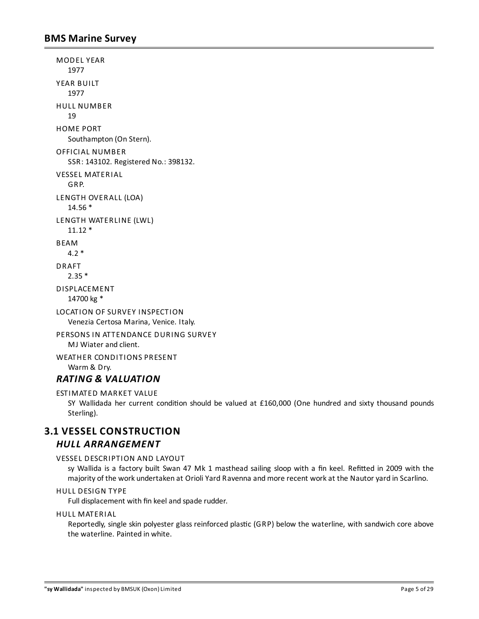MODEL YEAR 1977 YEAR BUILT 1977 HULL NUMBER 19 HOME PORT Southampton (On Stern). OFFICIAL NUMBER SSR: 143102. Registered No.: 398132. VESSEL MATERIAL GRP. LENGTH OVERALL (LOA) 14.56 \* LENGTH WATERLINE (LWL)  $11.12*$ BEAM 4.2 \* DRAFT 2.35 \* DISPLACEMENT 14700 kg \* LOCATION OF SURVEY INSPECTION Venezia Certosa Marina, Venice. Italy. PERSONS IN ATTENDANCE DURING SURVEY MJ Wiater and client. WEATHER CONDITIONS PRESENT Warm & Dry.

# *RATING & VALUATION*

```
ESTIMATED MARKET VALUE
```
SY Wallidada her current condition should be valued at £160,000 (One hundred and sixty thousand pounds Sterling).

# **3.1 VESSEL CONSTRUCTION**

## *HULL ARRANGEMENT*

### VESSEL DESCRIPTION AND LAYOUT

sy Wallida is a factory built Swan 47 Mk 1 masthead sailing sloop with a fin keel. Refitted in 2009 with the majority of the work undertaken at OrioliYard Ravenna andmore recent workat the Nautor yard in Scarlino.

### HULL DESIGN TYPE

Full displacement with fin keeland spade rudder.

### HULL MATERIAL

Reportedly, single skin polyester glass reinforced plastic (GRP) below the waterline, with sandwich core above the waterline. Painted in white.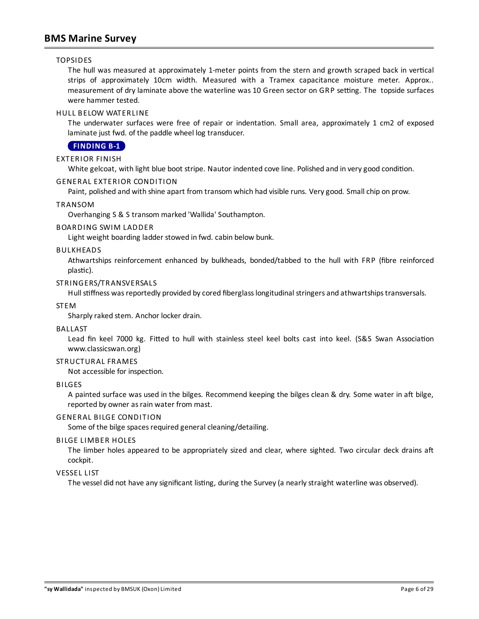### TOPSIDES

The hull was measured at approximately 1-meter points from the stern and growth scraped back in vertical strips of approximately 10cm width. Measured with a Tramex capacitance moisture meter. Approx.. measurement of dry laminate above the waterline was 10 Green sector on GRP setting. The topside surfaces were hammer tested.

### HULL BELOW WATERLINE

The underwater surfaces were free of repair or indentation. Small area, approximately 1 cm2 of exposed laminate just fwd. of the paddle wheel log transducer.

### <span id="page-5-0"></span>**[FINDING](#page-25-0) B-1**

### EXTERIOR FINISH

White gelcoat, with light blue boot stripe. Nautor indented cove line. Polished and in very good condition.

### GENERAL EXTERIOR CONDITION

Paint, polished and with shine apart from transom which had visible runs. Verygood. Smallchip on prow.

### TRANSOM

Overhanging S & S transom marked 'Wallida' Southampton.

### BOARDING SWIM LADDER

Light weight boarding ladder stowed in fwd. cabin below bunk.

### BULKHEADS

Athwartships reinforcement enhanced by bulkheads, bonded/tabbed to the hull with FRP (fibre reinforced plastic).

### STRINGERS/TRANSVERSALS

Hull stiffness was reportedly provided by cored fiberglass longitudinal stringers and athwartships transversals.

#### STEM

Sharply raked stem. Anchor locker drain.

#### BALLAST

Lead fin keel 7000 kg. Fitted to hull with stainless steel keel bolts cast into keel. (S&S Swan Association www.classicswan.org)

### STRUCTURAL FRAMES

Not accessible for inspection.

#### BILGES

A painted surface was used in the bilges. Recommend keeping the bilges clean & dry. Some water in aft bilge, reported by owner as rain water from mast.

### GENERAL BILGE CONDITION

Some of the bilge spaces required general cleaning/detailing.

#### BILGE LIMBER HOLES

The limber holes appeared to be appropriately sized and clear, where sighted. Two circular deck drains aft cockpit.

### VESSEL LIST

The vessel did not have any significant listing, during the Survey (a nearly straight waterline was observed).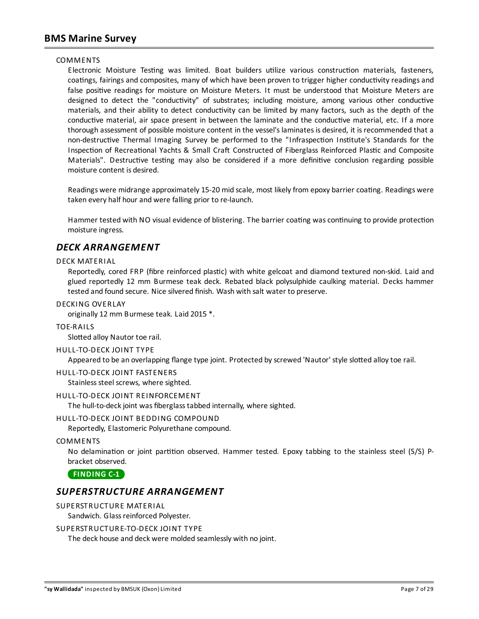### COMMENTS

Electronic Moisture Testing was limited. Boat builders utilize various construction materials, fasteners, coatings, fairings and composites, many of which have been proven to trigger higher conductivity readings and false positive readings for moisture on Moisture Meters. It must be understood that Moisture Meters are designed to detect the "conductivity" of substrates; including moisture, among various other conductive materials, and their ability to detect conductivity can be limited by many factors, such as the depth of the conductive material, air space present in between the laminate and the conductive material, etc. If a more thorough assessment of possible moisture content in the vessel's laminates is desired, it is recommended that a non-destructive Thermal Imaging Survey be performed to the "Infraspection Institute's Standards for the Inspection of Recreational Yachts & Small Craft Constructed of Fiberglass Reinforced Plastic and Composite Materials". Destructive testing may also be considered if a more definitive conclusion regarding possible moisture content is desired.

Readings were midrange approximately 15-20 mid scale, most likely from epoxy barrier coating. Readings were taken every half hour and were falling prior to re-launch.

Hammer tested with NO visual evidence of blistering. The barrier coating was continuing to provide protection moisture ingress.

### *DECK ARRANGEMENT*

### DECK MATERIAL

Reportedly, cored FRP (fibre reinforced plastic) with white gelcoat and diamond textured non-skid. Laid and glued reportedly 12 mm Burmese teak deck. Rebated black polysulphide caulking material. Decks hammer tested and found secure. Nice silvered finish. Wash with salt water to preserve.

### DECKING OVERLAY

originally 12 mm Burmese teak. Laid 2015 \*.

#### TOE-RAILS

Slotted alloy Nautor toe rail.

#### HULL-TO-DECK JOINT TYPE

Appeared to be an overlapping flange type joint. Protected by screwed 'Nautor' style slotted alloy toe rail.

#### HULL-TO-DECK JOINT FASTENERS

Stainless steel screws, where sighted.

### HULL-TO-DECK JOINT REINFORCEMENT

The hull-to-deck joint was fiberglass tabbed internally, where sighted.

### HULL-TO-DECK JOINT BEDDING COMPOUND

Reportedly, Elastomeric Polyurethane compound.

### COMMENTS

No delamination or joint partition observed. Hammer tested. Epoxy tabbing to the stainless steel (S/S) Pbracket observed.

<span id="page-6-0"></span>**[FINDING](#page-27-0) C-1**

### *SUPERSTRUCTURE ARRANGEMENT*

### SUPERSTRUCTURE MATERIAL

Sandwich. Glass reinforced Polyester.

### SUPERSTRUCTURE-TO-DECK JOINT TYPE

The deck house and deck were molded seamlessly with no joint.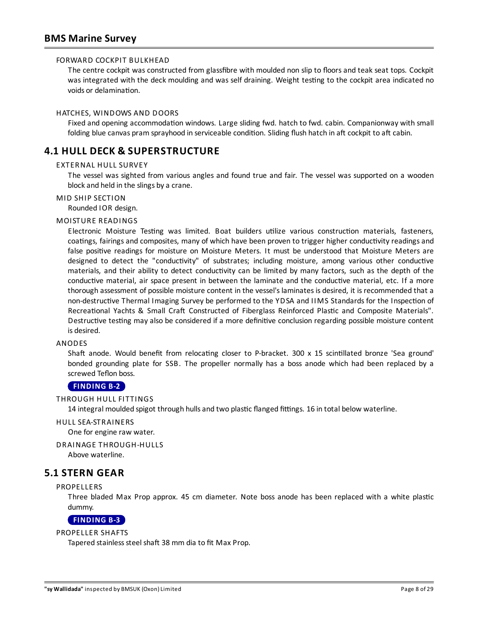### FORWARD COCKPIT BULKHEAD

The centre cockpit was constructed from glassfibre with moulded non slip to floorsand teak seat tops. Cockpit was integrated with the deck moulding and was self draining. Weight testing to the cockpit area indicated no voids or delamination.

### HATCHES, WINDOWS AND DOORS

Fixed and opening accommodation windows. Large sliding fwd. hatch to fwd. cabin. Companionway with small folding blue canvas pram sprayhood in serviceable condition. Sliding flush hatch in aft cockpit to aft cabin.

# **4.1 HULL DECK & SUPERSTRUCTURE**

### EXTERNAL HULL SURVEY

The vessel was sighted from various angles and found true and fair. The vessel was supported on a wooden block and held in the slings by a crane.

### MID SHIP SECTION

Rounded IOR design.

### MOISTURE READINGS

Electronic Moisture Testing was limited. Boat builders utilize various construction materials, fasteners, coatings, fairings and composites, many of which have been proven to trigger higher conductivity readings and false positive readings for moisture on Moisture Meters. It must be understood that Moisture Meters are designed to detect the "conductivity" of substrates; including moisture, among various other conductive materials, and their ability to detect conductivity can be limited by many factors, such as the depth of the conductive material, air space present in between the laminate and the conductive material, etc. If a more thorough assessment of possible moisture content in the vessel's laminates is desired, it is recommended that a non-destructive Thermal Imaging Survey be performed to the YDSA and IIMS Standards for the Inspection of Recreational Yachts & Small Craft Constructed of Fiberglass Reinforced Plastic and Composite Materials". Destructive testing may also be considered if a more definitive conclusion regarding possible moisture content is desired.

### ANODES

Shaft anode. Would benefit from relocating closer to P-bracket. 300 x 15 scintillated bronze 'Sea ground' bonded grounding plate for SSB. The propeller normally has a boss anode which had been replaced by a screwed Teflon boss.

### <span id="page-7-0"></span>**[FINDING](#page-25-1) B-2**

THROUGH HULL FITTINGS

14 integral moulded spigot through hulls and two plastic flanged fittings. 16 in total below waterline.

### HULL SEA-STRAINERS

One for engine raw water.

DRAINAGE THROUGH-HULLS

Above waterline.

### **5.1 STERN GEAR**

### PROPELLERS

Three bladed Max Prop approx. 45 cm diameter. Note boss anode has been replaced with a white plastic dummy.

### <span id="page-7-1"></span>**[FINDING](#page-25-2) B-3**

### PROPELLER SHAFTS

Tapered stainless steel shaft 38 mm dia to fit Max Prop.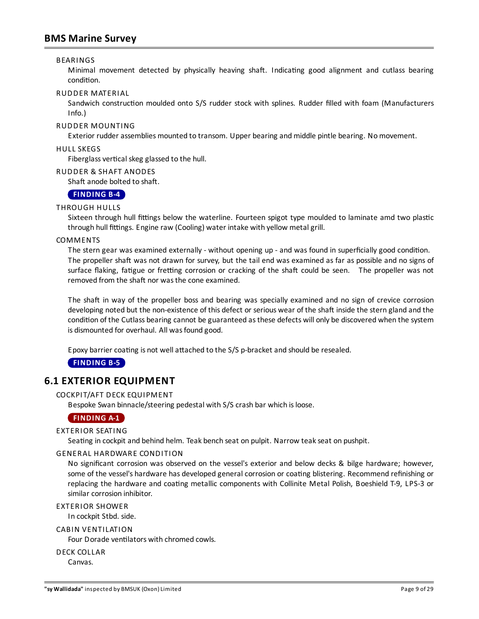### BEARINGS

Minimal movement detected by physically heaving shaft. Indicating good alignment and cutlass bearing condition.

### RUDDER MATERIAL

Sandwich construction moulded onto S/S rudder stock with splines. Rudder filled with foam (Manufacturers Info.)

### RUDDER MOUNTING

Exterior rudder assemblies mounted to transom. Upper bearing and middle pintle bearing. No movement.

#### HULL SKEGS

Fiberglass vertical skeg glassed to the hull.

### RUDDER & SHAFT ANODES

Shaft anode bolted to shaft.

### <span id="page-8-1"></span>**[FINDING](#page-26-0) B-4**

### THROUGH HULLS

Sixteen through hull fittings below the waterline. Fourteen spigot type moulded to laminate amd two plastic through hull fittings. Engine raw (Cooling) water intake with yellow metal grill.

### COMMENTS

The stern gear was examined externally - without opening up - and was found in superficially good condition. The propeller shaft was not drawn for survey, but the tail end was examined as far as possible and no signs of surface flaking, fatigue or fretting corrosion or cracking of the shaft could be seen. The propeller was not removed from the shaft nor was the cone examined.

The shaft in way of the propeller boss and bearing was specially examined and no sign of crevice corrosion developing noted but the non-existence of this defect or serious wear of the shaft inside the stern gland and the condition of the Cutlass bearing cannot be guaranteed as these defects will only be discovered when the system is dismounted for overhaul. All was found good.

Epoxy barrier coating is not well attached to the S/S p-bracket and should be resealed.

<span id="page-8-2"></span>**[FINDING](#page-26-1) B-5**

### **6.1 EXTERIOR EQUIPMENT**

### COCKPIT/AFT DECK EQUIPMENT

Bespoke Swan binnacle/steering pedestal with S/S crash bar which isloose.

### <span id="page-8-0"></span>**[FINDING](#page-23-0) A-1**

### EXTERIOR SEATING

Seating in cockpit and behind helm. Teak bench seat on pulpit. Narrow teak seat on pushpit.

### GENERAL HARDWARE CONDITION

No significant corrosion was observed on the vessel's exterior and below decks & bilge hardware; however, some of the vessel's hardware has developed general corrosion or coating blistering. Recommend refinishing or replacing the hardware and coating metallic components with Collinite Metal Polish, Boeshield T-9, LPS-3 or similar corrosion inhibitor.

EXTERIOR SHOWER

In cockpit Stbd. side.

### CABIN VENTILATION

Four Dorade ventilators with chromed cowls.

DECK COLLAR

Canvas.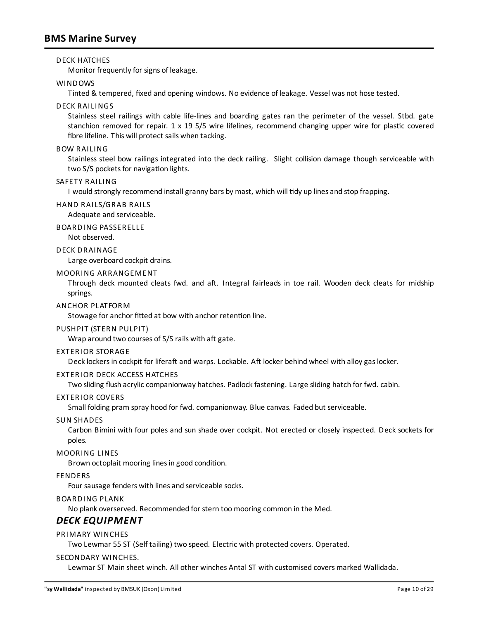### DECK HATCHES

Monitor frequently for signs of leakage.

### WINDOWS

Tinted & tempered, fixed and opening windows. No evidence of leakage. Vessel was not hose tested.

### DECK RAILINGS

Stainless steel railings with cable life-lines and boarding gates ran the perimeter of the vessel. Stbd. gate stanchion removed for repair. 1 x 19 S/S wire lifelines, recommend changing upper wire for plastic covered fibre lifeline. This will protect sails when tacking.

#### BOW RAILING

Stainless steel bow railings integrated into the deck railing. Slight collision damage though serviceable with two S/S pockets for navigation lights.

### SAFETY RAILING

I would strongly recommend install granny bars by mast, which will tidy up lines and stop frapping.

### HAND RAILS/GRAB RAILS

Adequate and serviceable.

### BOARDING PASSERELLE

Not observed.

### DECK DRAINAGE

Large overboard cockpit drains.

### MOORING ARRANGEMENT

Through deck mounted cleats fwd. and aft. Integral fairleads in toe rail. Wooden deck cleats for midship springs.

### ANCHOR PLATFORM

Stowage for anchor fitted at bow with anchor retention line.

### PUSHPIT (STERN PULPIT)

Wrap around two courses of S/S rails with aft gate.

#### EXTERIOR STORAGE

Deck lockers in cockpit for liferaft and warps. Lockable. Aft locker behind wheel with alloy gas locker.

### EXTERIOR DECK ACCESS HATCHES

Two sliding flush acrylic companionway hatches. Padlock fastening. Large sliding hatch for fwd. cabin.

### EXTERIOR COVERS

Small folding pram spray hood for fwd. companionway. Blue canvas. Faded but serviceable.

#### SUN SHADES

Carbon Bimini with four poles and sun shade over cockpit. Not erected or closely inspected. Deck sockets for poles.

#### MOORING LINES

Brown octoplait mooring lines in good condition.

### FENDERS

Four sausage fenders with lines and serviceable socks.

### BOARDING PLANK

No plank overserved. Recommended for stern toomooring common in the Med.

## *DECK EQUIPMENT*

### PRIMARY WINCHES

Two Lewmar 55 ST (Self tailing) two speed. Electric with protected covers. Operated.

### SECONDARY WINCHES.

Lewmar ST Main sheet winch. All other winches Antal ST with customised covers marked Wallidada.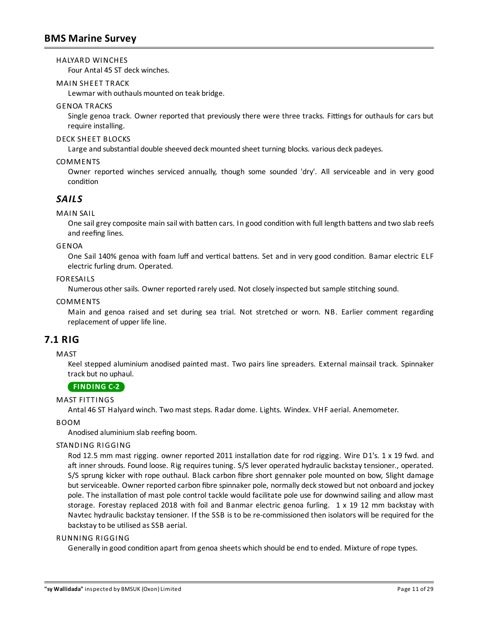### HALYARD WINCHES

Four Antal 45 ST deck winches.

### MAIN SHEET TRACK

Lewmar with outhauls mounted on teak bridge.

### GENOA TRACKS

Single genoa track. Owner reported that previously there were three tracks. Fittings for outhauls for cars but require installing.

### DECK SHEET BLOCKS

Large and substantial double sheeved deck mounted sheet turning blocks. various deck padeyes.

### **COMMENTS**

Owner reported winches serviced annually, though some sounded 'dry'. All serviceable and in very good condition

### *SAILS*

### MAIN SAIL

One sail grey composite main sail with batten cars. In good condition with full length battens and two slab reefs and reefing lines.

### GENOA

One Sail 140% genoa with foam luff and vertical battens. Set and in very good condition. Bamar electric ELF electric furling drum. Operated.

### FORESAILS

Numerous other sails. Owner reported rarely used. Not closely inspected but sample stitching sound.

### COMMENTS

Main and genoa raised and set during sea trial. Not stretched or worn. NB. Earlier comment regarding replacement of upper life line.

## **7.1 RIG**

### **MAST**

Keel stepped aluminium anodised painted mast. Two pairs line spreaders. External mainsail track. Spinnaker track but no uphaul.

### <span id="page-10-0"></span>**[FINDING](#page-27-1) C-2**

### MAST FITTINGS

Antal 46 ST Halyard winch. Twomast steps. Radar dome. Lights. Windex. VHF aerial. Anemometer.

### BOOM

Anodised aluminium slab reefing boom.

### STANDING RIGGING

Rod 12.5 mm mast rigging. owner reported 2011 installation date for rod rigging. Wire D1's. 1 x 19 fwd. and aft inner shrouds. Found loose. Rig requires tuning. S/S lever operated hydraulic backstay tensioner., operated. S/S sprung kicker with rope outhaul. Black carbon fibre short gennaker pole mounted on bow, Slight damage but serviceable. Owner reported carbon fibre spinnaker pole, normally deckstowed but not onboard and jockey pole. The installation of mast pole control tackle would facilitate pole use for downwind sailing and allow mast storage. Forestay replaced 2018 with foil and Banmar electric genoa furling. 1 x 19 12 mm backstay with Navtec hydraulic backstay tensioner. If the SSB is to be re-commissioned then isolators will be required for the backstay to be utilised as SSB aerial.

### RUNNING RIGGING

Generally in good condition apart from genoa sheets which should be end to ended. Mixture of rope types.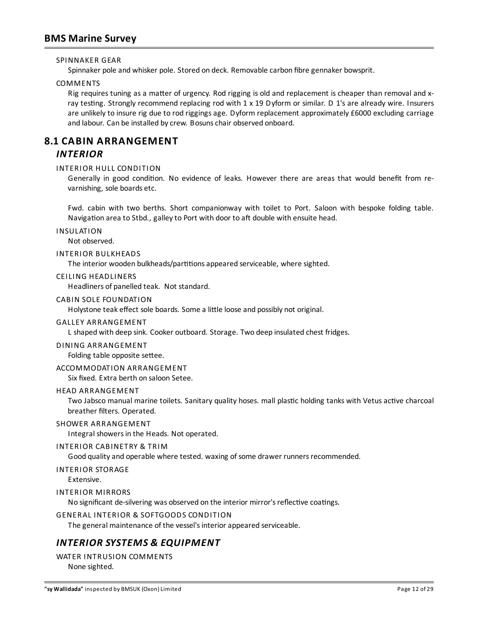SPINNAKER GEAR

Spinnaker pole and whisker pole. Stored on deck. Removable carbon fibre gennaker bowsprit.

COMMENTS

Rig requires tuning as a matter of urgency. Rod rigging is old and replacement is cheaper than removal and xray testing. Strongly recommend replacing rod with 1 x 19 Dyform or similar. D 1's are already wire. Insurers are unlikely to insure rig due to rod riggings age. Dyform replacement approximately £6000 excluding carriage and labour. Can be installed by crew. Bosuns chair observed onboard.

# **8.1 CABIN ARRANGEMENT** *INTERIOR*

### INTERIOR HULL CONDITION

Generally in good condition. No evidence of leaks. However there are areas that would benefit from revarnishing, sole boards etc.

Fwd. cabin with two berths. Short companionway with toilet to Port. Saloon with bespoke folding table. Navigation area to Stbd., galley to Port with door to aft double with ensuite head.

INSULATION

Not observed.

### INTERIOR BULKHEADS

The interior wooden bulkheads/partitions appeared serviceable, where sighted.

#### CEILING HEADLINERS

Headliners of panelled teak. Not standard.

### CABIN SOLE FOUNDATION

Holystone teak effect sole boards. Some a little loose and possibly not original.

#### GALLEY ARRANGEMENT

L shaped with deep sink. Cooker outboard. Storage. Two deep insulated chest fridges.

DINING ARRANGEMENT

Folding table opposite settee.

### ACCOMMODATION ARRANGEMENT

Six fixed. Extra berth on saloon Setee.

### HEAD ARRANGEMENT

Two Jabsco manual marine toilets. Sanitary quality hoses, mall plastic holding tanks with Vetus active charcoal breather filters. Operated.

### SHOWER ARRANGEMENT

Integral showersin the Heads. Not operated.

#### INTERIOR CABINETRY & TRIM

Good quality and operable where tested. waxing of some drawer runners recommended.

#### INTERIOR STORAGE

Extensive.

### INTERIOR MIRRORS

No significant de-silvering was observed on the interior mirror's reflective coatings.

### GENERAL INTERIOR & SOFTGOODS CONDITION

The general maintenance of the vessel's interior appeared serviceable.

### *INTERIOR SYSTEMS & EQUIPMENT*

WATER INTRUSION COMMENTS None sighted.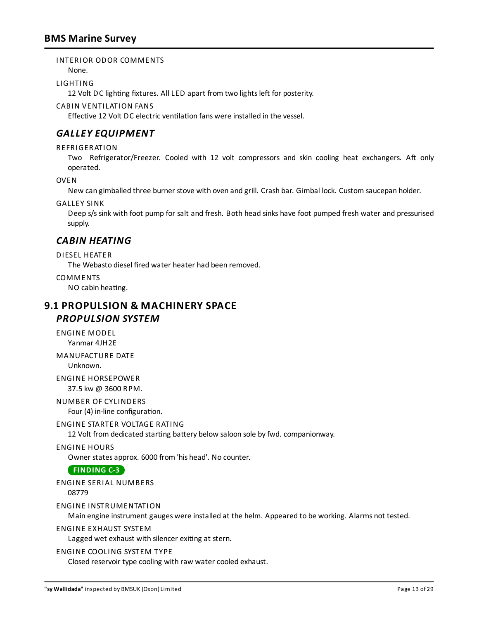### INTERIOR ODOR COMMENTS

None.

### LIGHTING

12 Volt DC lighting fixtures. All LED apart from two lights left for posterity.

### CABIN VENTILATION FANS

Effective 12 Volt DC electric ventilation fans were installed in the vessel.

# *GALLEY EQUIPMENT*

### REFRIGERATION

Two Refrigerator/Freezer. Cooled with 12 volt compressors and skin cooling heat exchangers. Aft only operated.

OVEN

New can gimballed three burner stove with oven and grill. Crash bar. Gimbal lock. Custom saucepan holder.

### GALLEY SINK

Deep s/s sink with foot pump for salt and fresh. Both head sinks have foot pumped fresh water and pressurised supply.

## *CABIN HEATING*

### DIESEL HEATER

The Webasto diesel fired water heater had been removed.

### **COMMENTS**

NO cabin heating.

### **9.1 PROPULSION & MACHINERY SPACE** *PROPULSION SYSTEM*

ENGINE MODEL Yanmar 4JH2E

MANUFACTURE DATE Unknown.

ENGINE HORSEPOWER 37.5 kw @ 3600 RPM.

NUMBER OF CYLINDERS Four (4) in-line configuration.

### ENGINE STARTER VOLTAGE RATING

12 Volt from dedicated starting battery below saloon sole by fwd. companionway.

### ENGINE HOURS

Owner statesapprox. 6000 from 'his head'. No counter.

### <span id="page-12-0"></span>**[FINDING](#page-27-2) C-3**

### ENGINE SERIAL NUMBERS

08779

### ENGINE INSTRUMENTATION

Main engine instrument gauges were installed at the helm. Appeared to be working. Alarms not tested.

### ENGINE EXHAUST SYSTEM

Lagged wet exhaust with silencer exiting at stern.

### ENGINE COOLING SYSTEM TYPE

Closed reservoir type cooling with raw water cooled exhaust.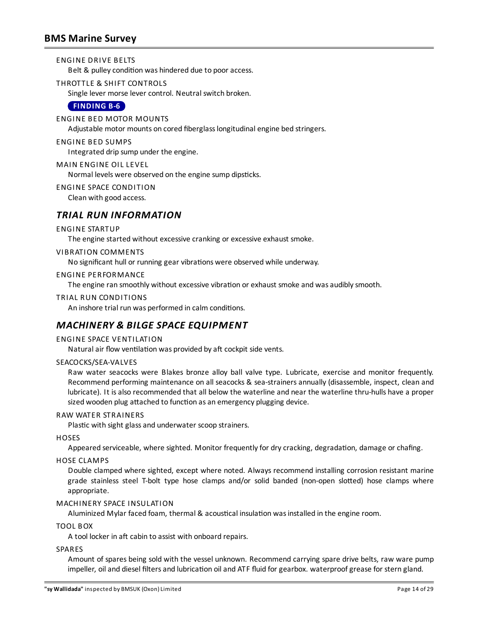### ENGINE DRIVE BELTS

Belt & pulley condition was hindered due to poor access.

THROTTLE & SHIFT CONTROLS

Single lever morse lever control. Neutral switch broken.

### <span id="page-13-0"></span>**[FINDING](#page-26-2) B-6**

### ENGINE BED MOTOR MOUNTS

Adjustable motor mounts on cored fiberglasslongitudinal engine bed stringers.

### ENGINE BED SUMPS

Integrated drip sump under the engine.

### MAIN ENGINE OIL LEVEL

Normal levels were observed on the engine sump dipsticks.

### ENGINE SPACE CONDITION

Clean with good access.

### *TRIAL RUN INFORMATION*

### ENGINE STARTUP

The engine started without excessive cranking or excessive exhaust smoke.

### VIBRATION COMMENTS

No significant hull or running gear vibrations were observed while underway.

### ENGINE PERFORMANCE

The engine ran smoothly without excessive vibration or exhaust smoke and was audibly smooth.

### TRIAL RUN CONDITIONS

An inshore trial run was performed in calm conditions.

### *MACHINERY & BILGE SPACE EQUIPMENT*

### ENGINE SPACE VENTILATION

Natural air flow ventilation was provided by aft cockpit side vents.

### SEACOCKS/SEA-VALVES

Raw water seacocks were Blakes bronze alloy ball valve type. Lubricate, exercise and monitor frequently. Recommend performing maintenance on all seacocks & sea-strainersannually (disassemble, inspect, clean and lubricate). It isalso recommended that all below the waterline and near the waterline thru-hulls have a proper sized wooden plug attached to function as an emergency plugging device.

### RAW WATER STRAINERS

Plastic with sight glass and underwater scoop strainers.

### **HOSES**

Appeared serviceable, where sighted. Monitor frequently for dry cracking, degradation, damage or chafing.

### HOSE CLAMPS

Double clamped where sighted, except where noted. Always recommend installing corrosion resistant marine grade stainless steel T-bolt type hose clamps and/or solid banded (non-open slotted) hose clamps where appropriate.

### MACHINERY SPACE INSULATION

Aluminized Mylar faced foam, thermal & acoustical insulation was installed in the engine room.

### TOOL BOX

A tool locker in aft cabin to assist with onboard repairs.

#### **SPARES**

Amount of spares being sold with the vessel unknown. Recommend carrying spare drive belts, raw ware pump impeller, oil and diesel filters and lubrication oil and ATF fluid for gearbox. waterproof grease for stern gland.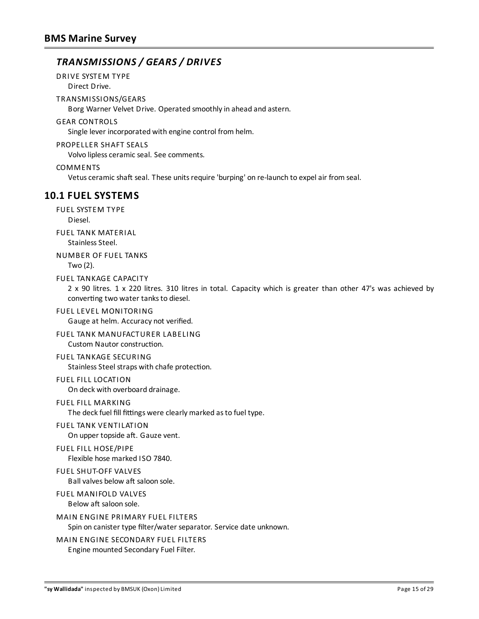# *TRANSMISSIONS / GEARS / DRIVES*

DRIVE SYSTEM TYPE

Direct Drive.

TRANSMISSIONS/GEARS

Borg Warner Velvet Drive. Operated smoothlyin ahead and astern.

### GEAR CONTROLS

Single lever incorporated with engine control from helm.

### PROPELLER SHAFT SEALS

Volvo lipless ceramic seal. See comments.

### COMMENTS

Vetus ceramic shaft seal. These units require 'burping' on re-launch to expel air from seal.

# **10.1 FUEL SYSTEMS**

FUEL SYSTEM TYPE Diesel.

FUEL TANK MATERIAL Stainless Steel.

### NUMBER OF FUEL TANKS Two (2).

FUEL TANKAGE CAPACITY

2 x 90 litres. 1 x 220 litres. 310 litres in total. Capacity which is greater than other 47's was achieved by converting two water tanks to diesel.

### FUEL LEVEL MONITORING

Gauge at helm. Accuracy not verified.

# FUEL TANK MANUFACTURER LABELING

Custom Nautor construction.

### FUEL TANKAGE SECURING

Stainless Steel straps with chafe protection.

### FUEL FILL LOCATION

On deck with overboard drainage.

### FUEL FILL MARKING

The deck fuel fill fittings were clearly marked as to fuel type.

# FUEL TANK VENTILATION

On upper topside aft. Gauze vent.

### FUEL FILL HOSE/PIPE

Flexible hose marked ISO 7840.

### FUEL SHUT-OFF VALVES

Ball valves below aft saloon sole.

# FUEL MANIFOLD VALVES

Below aft saloon sole.

# MAIN ENGINE PRIMARY FUEL FILTERS

Spin on canister type filter/water separator. Service date unknown.

### MAIN ENGINE SECONDARY FUEL FILTERS

Engine mounted Secondary Fuel Filter.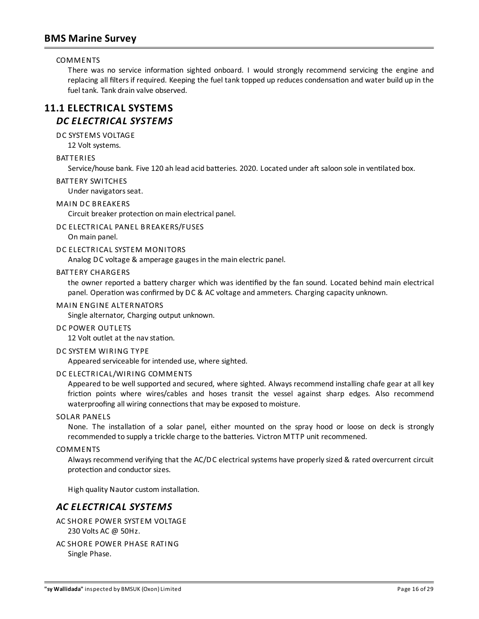### COMMENTS

There was no service information sighted onboard. I would strongly recommend servicing the engine and replacing all filters if required. Keeping the fuel tank topped up reduces condensation and water build up in the fuel tank. Tank drain valve observed.

# **11.1 ELECTRICAL SYSTEMS** *DC ELECTRICAL SYSTEMS*

DC SYSTEMS VOLTAGE

12 Volt systems.

### BATTERIES

Service/house bank. Five 120 ah lead acid batteries. 2020. Located under aft saloon sole in ventilated box.

### BATTERY SWITCHES

Under navigators seat.

### MAIN DC BREAKERS

Circuit breaker protection on main electrical panel.

### DC ELECTRICAL PANEL BREAKERS/FUSES

On main panel.

### DC ELECTRICAL SYSTEM MONITORS

Analog DC voltage & amperage gaugesin the main electric panel.

### BATTERY CHARGERS

the owner reported a battery charger which was identified by the fan sound. Located behind main electrical panel. Operation was confirmed by DC & AC voltage and ammeters. Charging capacity unknown.

### MAIN ENGINE ALTERNATORS

Single alternator, Charging output unknown.

#### DC POWER OUTLETS

12 Volt outlet at the nav station.

#### DC SYSTEM WIRING TYPE

Appeared serviceable for intended use, where sighted.

### DC ELECTRICAL/WIRING COMMENTS

Appeared to be well supported and secured, where sighted. Always recommend installing chafe gear at all key friction points where wires/cables and hoses transit the vessel against sharp edges. Also recommend waterproofing all wiring connections that may be exposed to moisture.

### SOLAR PANELS

None. The installation of a solar panel, either mounted on the spray hood or loose on deck is strongly recommended to supply a trickle charge to the batteries. Victron MTTP unit recommened.

### COMMENTS

Always recommend verifying that the AC/DC electrical systems have properlysized & rated overcurrent circuit protection and conductor sizes.

High quality Nautor custom installation.

### *AC ELECTRICAL SYSTEMS*

- AC SHORE POWER SYSTEM VOLTAGE 230 Volts AC @ 50Hz.
- AC SHORE POWER PHASE RATING Single Phase.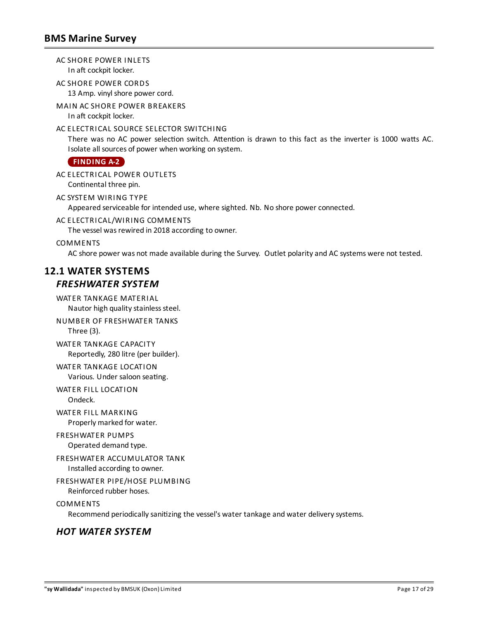AC SHORE POWER INLETS In aft cockpit locker.

AC SHORE POWER CORDS 13 Amp. vinyl shore power cord.

MAIN AC SHORE POWER BREAKERS In aft cockpit locker.

### AC ELECTRICAL SOURCE SELECTOR SWITCHING

There was no AC power selection switch. Attention is drawn to this fact as the inverter is 1000 watts AC. Isolate all sources of power when working on system.

<span id="page-16-0"></span>**[FINDING](#page-23-1) A-2**

AC ELECTRICAL POWER OUTLETS Continental three pin.

AC SYSTEM WIRING TYPE Appeared serviceable for intended use, where sighted. Nb. No shore power connected.

AC ELECTRICAL/WIRING COMMENTS

The vessel was rewired in 2018 according to owner.

COMMENTS

AC shore power was not made available during the Survey. Outlet polarityand AC systems were not tested.

# **12.1 WATER SYSTEMS** *FRESHWATER SYSTEM*

WATER TANKAGE MATERIAL Nautor high quality stainless steel.

NUMBER OF FRESHWATER TANKS Three (3).

WATER TANKAGE CAPACITY Reportedly, 280 litre (per builder).

WATER TANKAGE LOCATION Various. Under saloon seating.

WATER FILL LOCATION Ondeck.

WATER FILL MARKING Properly marked for water.

FRESHWATER PUMPS Operated demand type.

FRESHWATER ACCUMULATOR TANK Installed according to owner.

FRESHWATER PIPE/HOSE PLUMBING

Reinforced rubber hoses.

COMMENTS

Recommend periodically sanitizing the vessel's water tankage and water delivery systems.

### *HOT WATER SYSTEM*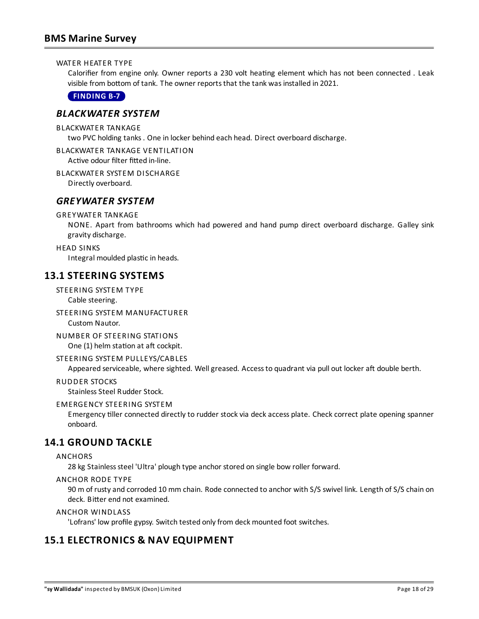### WATER HEATER TYPE

Calorifier from engine only. Owner reports a 230 volt heating element which has not been connected . Leak visible from bottom of tank. The owner reports that the tank was installed in 2021.

<span id="page-17-0"></span>**[FINDING](#page-26-3) B-7**

### *BLACKWATER SYSTEM*

BLACKWATER TANKAGE

two PVC holding tanks. One in locker behind each head. Direct overboard discharge.

BLACKWATER TANKAGE VENTILATION

Active odour filter fitted in-line.

### BLACKWATER SYSTEM DISCHARGE

Directly overboard.

### *GREYWATER SYSTEM*

### GREYWATER TANKAGE

NONE. Apart from bathrooms which had powered and hand pump direct overboard discharge. Galley sink gravity discharge.

### HEAD SINKS

Integral moulded plastic in heads.

### **13.1 STEERING SYSTEMS**

STEERING SYSTEM TYPE Cable steering.

STEERING SYSTEM MANUFACTURER Custom Nautor.

NUMBER OF STEERING STATIONS One (1) helm station at aft cockpit.

### STEERING SYSTEM PULLEYS/CABLES

Appeared serviceable, where sighted. Well greased. Access to quadrant via pull out locker aft double berth.

#### RUDDER STOCKS

Stainless Steel Rudder Stock.

### EMERGENCY STEERING SYSTEM

Emergency tiller connected directly to rudder stock via deck access plate. Check correct plate opening spanner onboard.

### **14.1 GROUND TACKLE**

### ANCHORS

28 kg Stainless steel 'Ultra' plough type anchor stored on single bow roller forward.

### ANCHOR RODE TYPE

90 m of rusty and corroded 10 mm chain. Rode connected to anchor with S/S swivel link. Length of S/S chain on deck. Bitter end not examined.

### ANCHOR WINDLASS

'Lofrans' low profile gypsy. Switch tested only from deck mounted foot switches.

### **15.1 ELECTRONICS & NAV EQUIPMENT**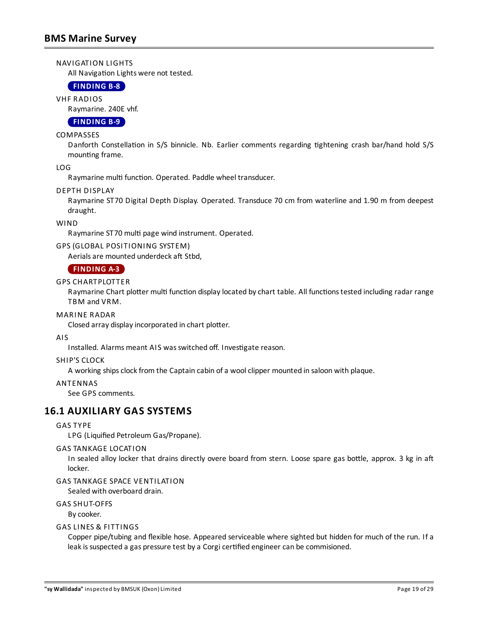### NAVIGATION LIGHTS

All Navigation Lights were not tested.

### <span id="page-18-1"></span>**[FINDING](#page-27-3) B-8**

VHF RADIOS

Raymarine. 240E vhf.

### <span id="page-18-2"></span>**[FINDING](#page-27-4) B-9**

### **COMPASSES**

Danforth Constellation in S/S binnicle. Nb. Earlier comments regarding tightening crash bar/hand hold S/S mounting frame.

LOG

Raymarine multi function. Operated. Paddle wheel transducer.

### DEPTH DISPLAY

Raymarine ST70 Digital Depth Display. Operated. Transduce 70 cm from waterline and 1.90 m from deepest draught.

### WIND

Raymarine ST70 multi page wind instrument. Operated.

### GPS (GLOBAL POSITIONING SYSTEM)

Aerials are mounted underdeck aft Stbd,

### <span id="page-18-0"></span>**[FINDING](#page-24-0) A-3**

### GPS CHARTPLOTTER

Raymarine Chart plotter multi function display located by chart table. All functions tested including radar range TBM and VRM.

### MARINE RADAR

Closed array display incorporated in chart plotter.

### AIS

Installed. Alarms meant AIS was switched off. Investigate reason.

### SHIP'S CLOCK

A working ships clock from the Captain cabin of a wool clipper mounted in saloon with plaque.

### ANTENNAS

See GPS comments.

### **16.1 AUXILIARY GAS SYSTEMS**

### GAS TYPE

LPG (Liquified Petroleum Gas/Propane).

### GAS TANKAGE LOCATION

In sealed alloy locker that drains directly overe board from stern. Loose spare gas bottle, approx. 3 kg in aft locker.

### GAS TANKAGE SPACE VENTILATION

Sealed with overboard drain.

### GAS SHUT-OFFS

Bycooker.

### GAS LINES & FITTINGS

Copper pipe/tubing and flexible hose. Appeared serviceable where sighted but hidden for much of the run. Ifa leak is suspected a gas pressure test by a Corgi certified engineer can be commisioned.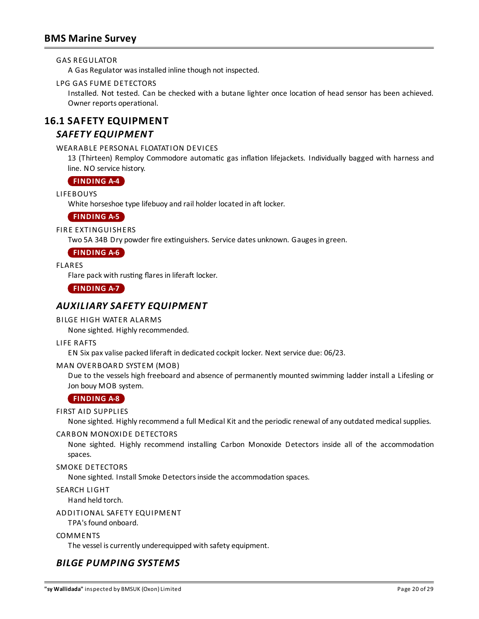### GAS REGULATOR

A Gas Regulator wasinstalled inline though not inspected.

### LPG GAS FUME DETECTORS

Installed. Not tested. Can be checked with a butane lighter once location of head sensor has been achieved. Owner reports operational.

# **16.1 SAFETY EQUIPMENT**

### *SAFETY EQUIPMENT*

### WEARABLE PERSONAL FLOATATION DEVICES

13 (Thirteen) Remploy Commodore automatic gas inflation lifejackets. Individually bagged with harness and line. NO service history.

### <span id="page-19-0"></span>**[FINDING](#page-24-1) A-4**

LIFEBOUYS

White horseshoe type lifebuoy and rail holder located in aft locker.

### <span id="page-19-1"></span>**[FINDING](#page-24-2) A-5**

FIRE EXTINGUISHERS

Two 5A 34B Dry powder fire extinguishers. Service dates unknown. Gauges in green.

### <span id="page-19-2"></span>**[FINDING](#page-24-3) A-6**

FLARES

Flare pack with rusting flares in liferaft locker.

<span id="page-19-3"></span>**[FINDING](#page-24-4) A-7**

### *AUXILIARY SAFETY EQUIPMENT*

### BILGE HIGH WATER ALARMS

None sighted. Highly recommended.

### LIFE RAFTS

EN Six pax valise packed liferaft in dedicated cockpit locker. Next service due: 06/23.

### MAN OVERBOARD SYSTEM (MOB)

Due to the vessels high freeboard and absence of permanently mounted swimming ladder install a Lifesling or Jon bouy MOB system.

### <span id="page-19-4"></span>**[FINDING](#page-25-3) A-8**

### FIRST AID SUPPLIES

None sighted. Highly recommend a full Medical Kit and the periodic renewal of any outdated medical supplies.

### CARBON MONOXIDE DETECTORS

None sighted. Highly recommend installing Carbon Monoxide Detectors inside all of the accommodation spaces.

### SMOKE DETECTORS

None sighted. Install Smoke Detectors inside the accommodation spaces.

SEARCH LIGHT

Hand held torch.

### ADDITIONAL SAFETY EQUIPMENT

TPA'sfound onboard.

### **COMMENTS**

The vessel is currently underequipped with safety equipment.

# *BILGE PUMPING SYSTEMS*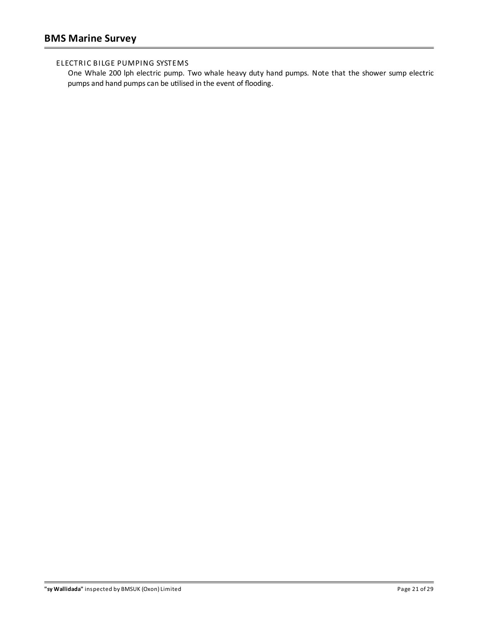### ELECTRIC BILGE PUMPING SYSTEMS

One Whale 200 lph electric pump. Two whale heavy duty hand pumps. Note that the shower sump electric pumps and hand pumps can be utilised in the event of flooding.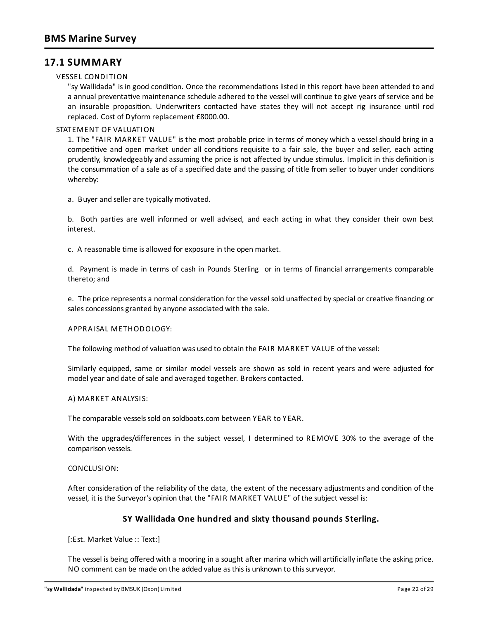# **17.1 SUMMARY**

### VESSEL CONDITION

"sy Wallidada" is in good condition. Once the recommendations listed in this report have been attended to and a annual preventative maintenance schedule adhered to the vessel will continue to give years of service and be an insurable proposition. Underwriters contacted have states they will not accept rig insurance until rod replaced. Cost of Dyform replacement £8000.00.

### STATEMENT OF VALUATION

1. The "FAIR MARKET VALUE" is the most probable price in terms of money which a vessel should bring in a competitive and open market under all conditions requisite to a fair sale, the buyer and seller, each acting prudently, knowledgeably and assuming the price is not affected by undue stimulus. Implicit in this definition is the consummation of a sale as of a specified date and the passing of title from seller to buyer under conditions whereby:

a. Buyer and seller are typically motivated.

b. Both parties are well informed or well advised, and each acting in what they consider their own best interest.

c. A reasonable time is allowed for exposure in the open market.

d. Payment is made in terms of cash in Pounds Sterling or in terms of financial arrangements comparable thereto; and

e. The price represents a normal consideration for the vessel sold unaffected by special or creative financing or sales concessions granted by anyone associated with the sale.

### APPRAISAL METHODOLOGY:

The following method of valuation was used to obtain the FAIR MARKET VALUE of the vessel:

Similarly equipped, same or similar model vessels are shown as sold in recent years and were adjusted for model year and date of sale and averaged together. Brokers contacted.

### A) MARKET ANALYSIS:

The comparable vessels sold on soldboats.com between YEAR to YEAR.

With the upgrades/differences in the subject vessel, I determined to REMOVE 30% to the average of the comparison vessels.

### CONCLUSION:

After consideration of the reliability of the data, the extent of the necessary adjustments and condition of the vessel, it isthe Surveyor's opinion that the "FAIR MARKET VALUE" of the subject vessel is:

### **SY Wallidada One hundred and sixty thousand pounds Sterling.**

[:Est. Market Value :: Text:]

The vessel is being offered with a mooring in a sought after marina which will artificially inflate the asking price. NO comment can be made on the added value as this is unknown to this surveyor.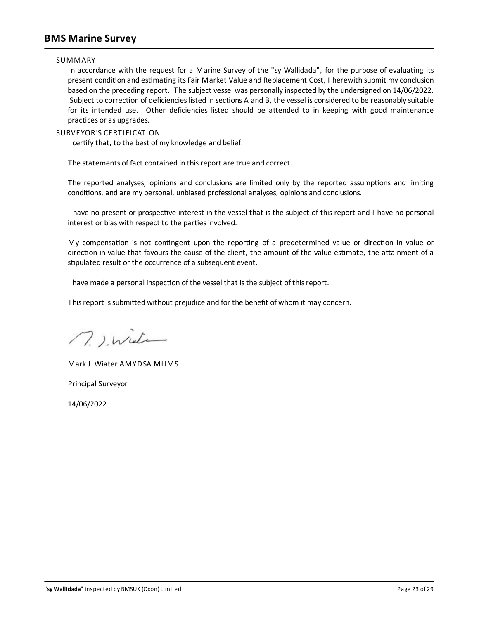### **BMS Marine Survey**

### SUMMARY

In accordance with the request for a Marine Survey of the "sy Wallidada", for the purpose of evaluating its present condition and estimating its Fair Market Value and Replacement Cost, I herewith submit my conclusion based on the preceding report. The subject vessel was personallyinspected bythe undersigned on 14/06/2022. Subject to correction of deficiencies listed in sections A and B, the vessel is considered to be reasonably suitable for its intended use. Other deficiencies listed should be attended to in keeping with good maintenance practices or as upgrades.

### SURVEYOR'S CERTIFICATION

I certify that, to the best of my knowledge and belief:

The statements of fact contained in thisreport are true and correct.

The reported analyses, opinions and conclusions are limited only by the reported assumptions and limiting conditions, and are my personal, unbiased professional analyses, opinions and conclusions.

I have no present or prospective interest in the vessel that is the subject of this report and I have no personal interest or bias with respect to the parties involved.

My compensation is not contingent upon the reporting of a predetermined value or direction in value or direction in value that favours the cause of the client, the amount of the value estimate, the attainment of a stipulated result or the occurrence of a subsequent event.

I have made a personal inspection of the vessel that is the subject of this report.

This report is submitted without prejudice and for the benefit of whom it may concern.

n. ). Wieter

MarkJ. Wiater AMYDSA MIIMS

Principal Surveyor

14/06/2022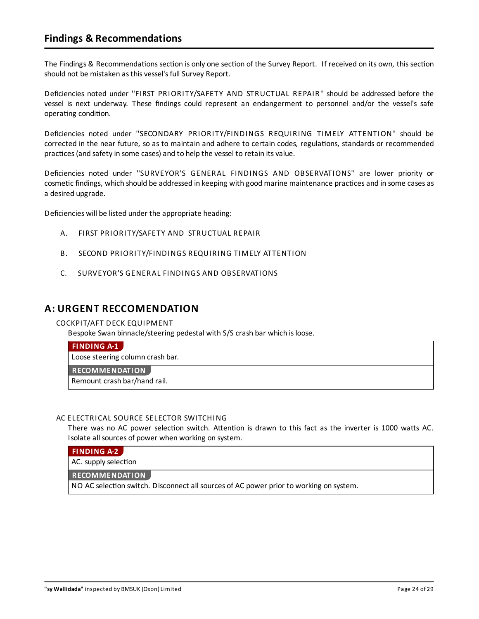# **Findings & Recommendations**

The Findings & Recommendations section is only one section of the Survey Report. If received on its own, this section should not be mistaken as this vessel's full Survey Report.

Deficiencies noted under ''FIRST PRIORITY/SAFETY AND STRUCTUAL REPAIR'' should be addressed before the vessel is next underway. These findings could represent an endangerment to personnel and/or the vessel's safe operating condition.

Deficiencies noted under ''SECONDARY PRIORITY/FINDINGS REQUIRING TIMELY ATTENTION'' should be corrected in the near future, so as to maintain and adhere to certain codes, regulations, standards or recommended practices (and safety in some cases) and to help the vessel to retain its value.

Deficiencies noted under ''SURVEYOR'S GENERAL FINDINGS AND OBSERVATIONS'' are lower priority or cosmetic findings, which should be addressed in keeping with good marine maintenance practices and in some cases as a desired upgrade.

Deficiencies will be listed under the appropriate heading:

- A. FIRST PRIORITY/SAFETY AND STRUCTUAL REPAIR
- B. SECOND PRIORITY/FINDINGS REQUIRING TIMELY ATTENTION
- C. SURVEYOR'S GENERAL FINDINGS AND OBSERVATIONS

### **A: URGENT RECCOMENDATION**

### COCKPIT/AFT DECK EQUIPMENT

Bespoke Swan binnacle/steering pedestal with S/S crash bar which isloose.

### <span id="page-23-0"></span>**[FINDING](#page-8-0) A-1**

Loose steering column crash bar.

**RECOMMENDATION**

Remount crash bar/hand rail.

### AC ELECTRICAL SOURCE SELECTOR SWITCHING

There was no AC power selection switch. Attention is drawn to this fact as the inverter is 1000 watts AC. Isolate all sources of power when working on system.

### <span id="page-23-1"></span>**[FINDING](#page-16-0) A-2**

AC. supply selection

#### **RECOMMENDATION**

NO AC selection switch. Disconnect all sources of AC power prior to working on system.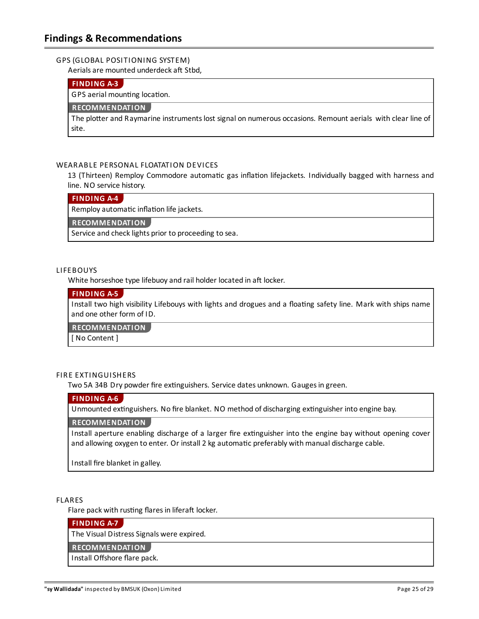### GPS (GLOBAL POSITIONING SYSTEM)

Aerials are mounted underdeck aft Stbd.

### <span id="page-24-0"></span>**[FINDING](#page-18-0) A-3**

GPS aerial mounting location.

### **RECOMMENDATION**

The plotter and Raymarine instruments lost signal on numerous occasions. Remount aerials with clear line of site.

### WEARABLE PERSONAL FLOATATION DEVICES

13 (Thirteen) Remploy Commodore automatic gas inflation lifejackets. Individually bagged with harness and line. NO service history.

### <span id="page-24-1"></span>**[FINDING](#page-19-0) A-4**

Remploy automatic inflation life jackets.

**RECOMMENDATION**

Service and check lights prior to proceeding to sea.

#### LIFEBOUYS

White horseshoe type lifebuoy and rail holder located in aft locker.

### <span id="page-24-2"></span>**[FINDING](#page-19-1) A-5**

Install two high visibility Lifebouys with lights and drogues and a floating safety line. Mark with ships name and one other form of ID.

**RECOMMENDATION**

[ No Content ]

### FIRE EXTINGUISHERS

Two 5A 34B Dry powder fire extinguishers. Service dates unknown. Gauges in green.

### <span id="page-24-3"></span>**[FINDING](#page-19-2) A-6**

Unmounted extinguishers. No fire blanket. NO method of discharging extinguisher into engine bay.

### **RECOMMENDATION**

Install aperture enabling discharge of a larger fire extinguisher into the engine bay without opening cover and allowing oxygen to enter. Or install 2 kg automatic preferably with manual discharge cable.

Install fire blanket in galley.

### FLARES

Flare pack with rusting flares in liferaft locker.

#### <span id="page-24-4"></span>**[FINDING](#page-19-3) A-7**

The Visual Distress Signals were expired.

#### **RECOMMENDATION**

Install Offshore flare pack.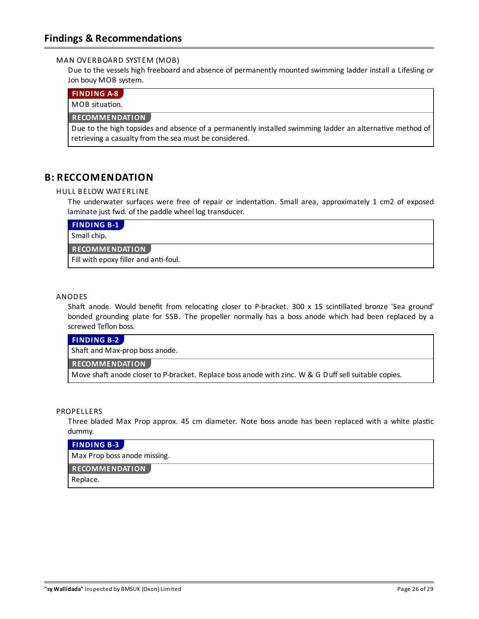### MAN OVERBOARD SYSTEM (MOB)

Due to the vessels high freeboard and absence of permanently mounted swimming ladder install a Lifesling or Jon bouy MOB system.

### <span id="page-25-3"></span>**[FINDING](#page-19-4) A-8**

 $MOR$  situation.

### **RECOMMENDATION**

Due to the high topsides and absence of a permanently installed swimming ladder an alternative method of retrieving a casualty from the sea must be considered.

## **B: RECCOMENDATION**

### HULL BELOW WATERLINE

The underwater surfaces were free of repair or indentation. Small area, approximately 1 cm2 of exposed laminate just fwd. of the paddle wheel log transducer.

<span id="page-25-0"></span>

| <b>FINDING B-1</b>                    |
|---------------------------------------|
| Small chip.                           |
| <b>RECOMMENDATION</b>                 |
| Fill with epoxy filler and anti-foul. |

### ANODES

Shaft anode. Would benefit from relocating closer to P-bracket. 300 x 15 scintillated bronze 'Sea ground' bonded grounding plate for SSB. The propeller normally has a boss anode which had been replaced by a screwed Teflon boss.

### <span id="page-25-1"></span>**[FINDING](#page-7-0) B-2**

Shaft and Max-prop boss anode.

### **RECOMMENDATION**

Move shaft anode closer to P-bracket. Replace boss anode with zinc. W & G Duff sell suitable copies.

#### **PROPELLERS**

Three bladed Max Prop approx. 45 cm diameter. Note boss anode has been replaced with a white plastic dummy.

### <span id="page-25-2"></span>**[FINDING](#page-7-1) B-3**

Max Prop bossanode missing.

#### **RECOMMENDATION**

Replace.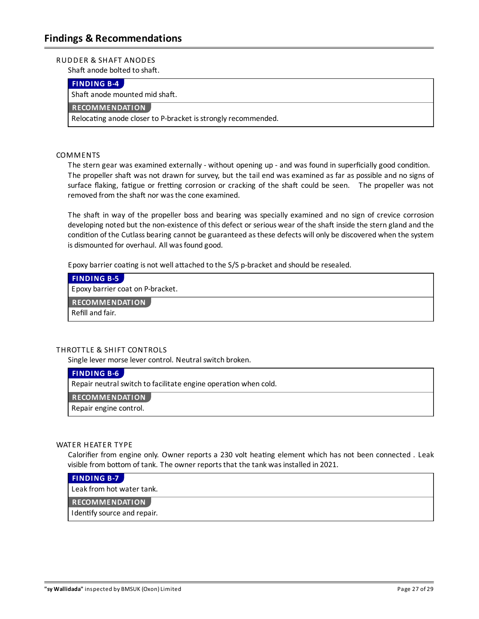### RUDDER & SHAFT ANODES

Shaft anode bolted to shaft.

### <span id="page-26-0"></span>**[FINDING](#page-8-1) B-4**

Shaft anode mounted mid shaft.

### **RECOMMENDATION**

Relocating anode closer to P-bracket is strongly recommended.

### COMMENTS

The stern gear was examined externally - without opening up - and was found in superficially good condition. The propeller shaft was not drawn for survey, but the tail end was examined as far as possible and no signs of surface flaking, fatigue or fretting corrosion or cracking of the shaft could be seen. The propeller was not removed from the shaft nor was the cone examined.

The shaft in way of the propeller boss and bearing was specially examined and no sign of crevice corrosion developing noted but the non-existence of this defect or serious wear of the shaft inside the stern gland and the condition of the Cutlass bearing cannot be guaranteed as these defects will only be discovered when the system is dismounted for overhaul. All was found good.

Epoxy barrier coating is not well attached to the S/S p-bracket and should be resealed.

<span id="page-26-1"></span>

| <b>FINDING B-5</b>               |  |
|----------------------------------|--|
| Epoxy barrier coat on P-bracket. |  |
| <b>RECOMMENDATION</b>            |  |
| Refill and fair.                 |  |

### THROTTLE & SHIFT CONTROLS

Single lever morse lever control. Neutral switch broken.

### <span id="page-26-2"></span>**[FINDING](#page-13-0) B-6**

Repair neutral switch to facilitate engine operation when cold.

**RECOMMENDATION**

Repair engine control.

#### WATER HEATER TYPE

Calorifier from engine only. Owner reports a 230 volt heating element which has not been connected . Leak visible from bottom of tank. The owner reports that the tank was installed in 2021.

### <span id="page-26-3"></span>**[FINDING](#page-17-0) B-7**

Leakfrom hot water tank.

### **RECOMMENDATION**

I dentify source and repair.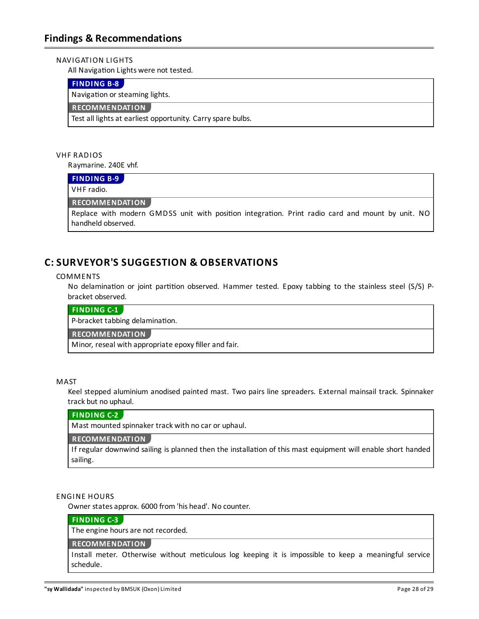### NAVIGATION LIGHTS

All Navigation Lights were not tested.

### <span id="page-27-3"></span>**[FINDING](#page-18-1) B-8**

Navigation or steaming lights.

### **RECOMMENDATION**

Test all lights at earliest opportunity. Carry spare bulbs.

### VHF RADIOS

Raymarine. 240E vhf.

### <span id="page-27-4"></span>**[FINDING](#page-18-2) B-9**

VHF radio.

### **RECOMMENDATION**

Replace with modern GMDSS unit with position integration. Print radio card and mount by unit. NO handheld observed.

# **C:SURVEYOR'S SUGGESTION & OBSERVATIONS**

### COMMENTS

No delamination or joint partition observed. Hammer tested. Epoxy tabbing to the stainless steel (S/S) Pbracket observed.

### <span id="page-27-0"></span>**[FINDING](#page-6-0) C-1**

P-bracket tabbing delamination.

### **RECOMMENDATION**

Minor, reseal with appropriate epoxy filler and fair.

### MAST

Keel stepped aluminium anodised painted mast. Two pairs line spreaders. External mainsail track. Spinnaker track but no uphaul.

### <span id="page-27-1"></span>**[FINDING](#page-10-0) C-2**

Mast mounted spinnaker track with no car or uphaul.

### **RECOMMENDATION**

If regular downwind sailing is planned then the installation of this mast equipment will enable short handed sailing.

### ENGINE HOURS

Owner statesapprox. 6000 from 'his head'. No counter.

### <span id="page-27-2"></span>**[FINDING](#page-12-0) C-3**

The engine hours are not recorded.

### **RECOMMENDATION**

Install meter. Otherwise without meticulous log keeping it is impossible to keep a meaningful service schedule.